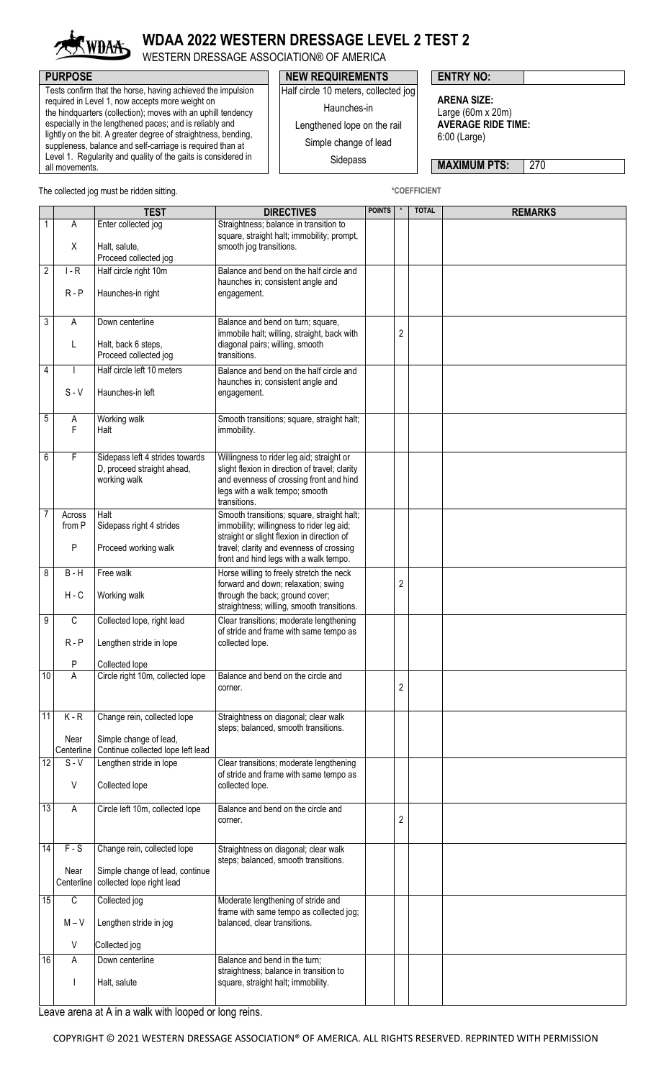

## **WDAA 2022 WESTERN DRESSAGE LEVEL 2 TEST 2**

WESTERN DRESSAGE ASSOCIATION® OF AMERICA

Tests confirm that the horse, having achieved the impulsion required in Level 1, now accepts more weight on the hindquarters (collection); moves with an uphill tendency especially in the lengthened paces; and is reliably and lightly on the bit. A greater degree of straightness, bending, suppleness, balance and self-carriage is required than at Level 1. Regularity and quality of the gaits is considered in all movements.

## **PURPOSE PURPOSE NEW REQUIREMENTS ENTRY NO:**

Half circle 10 meters, collected jog

Haunches-in

Lengthened lope on the rail

Simple change of lead

Sidepass

**ARENA SIZE:** Large (60m x 20m) **AVERAGE RIDE TIME:** 6:00 (Large)

**MAXIMUM PTS: 270** 

The collected jog must be ridden sitting. **All and Structure of the COEFFICIENT** \*COEFFICIENT

|                 |                           | <b>TEST</b>                                                                   | <b>DIRECTIVES</b>                                                                                                                                                                        |  | $^\star$<br><b>POINTS</b> | <b>TOTAL</b> | <b>REMARKS</b> |
|-----------------|---------------------------|-------------------------------------------------------------------------------|------------------------------------------------------------------------------------------------------------------------------------------------------------------------------------------|--|---------------------------|--------------|----------------|
| 1               | A                         | Enter collected jog                                                           | Straightness; balance in transition to<br>square, straight halt; immobility; prompt,                                                                                                     |  |                           |              |                |
|                 | X                         | Halt, salute,<br>Proceed collected jog                                        | smooth jog transitions.                                                                                                                                                                  |  |                           |              |                |
| 2               | $I - R$                   | Half circle right 10m                                                         | Balance and bend on the half circle and<br>haunches in; consistent angle and                                                                                                             |  |                           |              |                |
|                 | $R - P$                   | Haunches-in right                                                             | engagement.                                                                                                                                                                              |  |                           |              |                |
| 3               | A                         | Down centerline                                                               | Balance and bend on turn; square,<br>immobile halt; willing, straight, back with                                                                                                         |  | 2                         |              |                |
|                 | L                         | Halt, back 6 steps,<br>Proceed collected jog                                  | diagonal pairs; willing, smooth<br>transitions.                                                                                                                                          |  |                           |              |                |
| 4               | $S - V$                   | Half circle left 10 meters<br>Haunches-in left                                | Balance and bend on the half circle and<br>haunches in; consistent angle and<br>engagement.                                                                                              |  |                           |              |                |
| 5               | Α<br>F                    | Working walk<br>Halt                                                          | Smooth transitions; square, straight halt;<br>immobility.                                                                                                                                |  |                           |              |                |
| 6               | F                         | Sidepass left 4 strides towards<br>D, proceed straight ahead,<br>working walk | Willingness to rider leg aid; straight or<br>slight flexion in direction of travel; clarity<br>and evenness of crossing front and hind<br>legs with a walk tempo; smooth<br>transitions. |  |                           |              |                |
| 7               | Across<br>from P          | Halt<br>Sidepass right 4 strides                                              | Smooth transitions; square, straight halt;<br>immobility; willingness to rider leg aid;<br>straight or slight flexion in direction of                                                    |  |                           |              |                |
|                 | P                         | Proceed working walk                                                          | travel; clarity and evenness of crossing<br>front and hind legs with a walk tempo.                                                                                                       |  |                           |              |                |
| 8               | $B - H$<br>$H - C$        | Free walk<br>Working walk                                                     | Horse willing to freely stretch the neck<br>forward and down; relaxation; swing<br>through the back; ground cover;                                                                       |  | 2                         |              |                |
| 9               | C                         | Collected lope, right lead                                                    | straightness; willing, smooth transitions.                                                                                                                                               |  |                           |              |                |
|                 | $R - P$                   | Lengthen stride in lope                                                       | Clear transitions; moderate lengthening<br>of stride and frame with same tempo as<br>collected lope.                                                                                     |  |                           |              |                |
|                 | Ρ                         | Collected lope                                                                |                                                                                                                                                                                          |  |                           |              |                |
| 10              | A                         | Circle right 10m, collected lope                                              | Balance and bend on the circle and<br>corner.                                                                                                                                            |  | $\sqrt{2}$                |              |                |
| $\overline{11}$ | $K - R$                   | Change rein, collected lope                                                   | Straightness on diagonal; clear walk<br>steps; balanced, smooth transitions.                                                                                                             |  |                           |              |                |
|                 | Near<br>Centerline        | Simple change of lead,<br>Continue collected lope left lead                   |                                                                                                                                                                                          |  |                           |              |                |
| 12              | $S - V$<br>$\vee$         | Lengthen stride in lope<br>Collected lope                                     | Clear transitions; moderate lengthening<br>of stride and frame with same tempo as<br>collected lope.                                                                                     |  |                           |              |                |
| 13              | A                         | Circle left 10m, collected lope                                               | Balance and bend on the circle and                                                                                                                                                       |  |                           |              |                |
|                 |                           |                                                                               | corner.                                                                                                                                                                                  |  | 2                         |              |                |
| 14              | $F-S$                     | Change rein, collected lope                                                   | Straightness on diagonal; clear walk<br>steps; balanced, smooth transitions.                                                                                                             |  |                           |              |                |
|                 | Near<br>Centerline        | Simple change of lead, continue<br>collected lope right lead                  |                                                                                                                                                                                          |  |                           |              |                |
| 15              | $\overline{C}$<br>$M - V$ | Collected jog<br>Lengthen stride in jog                                       | Moderate lengthening of stride and<br>frame with same tempo as collected jog;<br>balanced, clear transitions.                                                                            |  |                           |              |                |
|                 | V                         | Collected jog                                                                 |                                                                                                                                                                                          |  |                           |              |                |
| 16              | A                         | Down centerline                                                               | Balance and bend in the turn;                                                                                                                                                            |  |                           |              |                |
|                 |                           | Halt, salute                                                                  | straightness; balance in transition to<br>square, straight halt; immobility.                                                                                                             |  |                           |              |                |
|                 |                           |                                                                               |                                                                                                                                                                                          |  |                           |              |                |

Leave arena at A in a walk with looped or long reins.